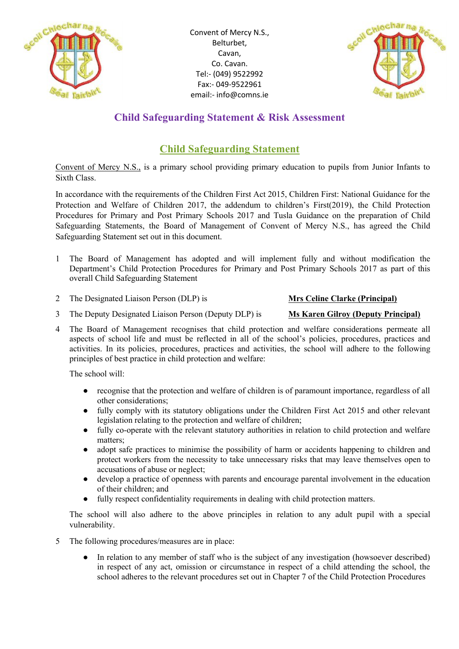



# **Child Safeguarding Statement & Risk Assessment**

# **Child Safeguarding Statement**

Convent of Mercy N.S., is a primary school providing primary education to pupils from Junior Infants to Sixth Class.

In accordance with the requirements of the Children First Act 2015, Children First: National Guidance for the Protection and Welfare of Children 2017, the addendum to children's First(2019), the Child Protection Procedures for Primary and Post Primary Schools 2017 and Tusla Guidance on the preparation of Child Safeguarding Statements, the Board of Management of Convent of Mercy N.S., has agreed the Child Safeguarding Statement set out in this document.

- 1 The Board of Management has adopted and will implement fully and without modification the Department's Child Protection Procedures for Primary and Post Primary Schools 2017 as part of this overall Child Safeguarding Statement
- 2 The Designated Liaison Person (DLP) is **Mrs Celine Clarke (Principal)**

- 3 The Deputy Designated Liaison Person (Deputy DLP) is **Ms Karen Gilroy (Deputy Principal)**
- 4 The Board of Management recognises that child protection and welfare considerations permeate all aspects of school life and must be reflected in all of the school's policies, procedures, practices and activities. In its policies, procedures, practices and activities, the school will adhere to the following principles of best practice in child protection and welfare:

The school will:

- recognise that the protection and welfare of children is of paramount importance, regardless of all other considerations;
- fully comply with its statutory obligations under the Children First Act 2015 and other relevant legislation relating to the protection and welfare of children;
- fully co-operate with the relevant statutory authorities in relation to child protection and welfare matters;
- adopt safe practices to minimise the possibility of harm or accidents happening to children and protect workers from the necessity to take unnecessary risks that may leave themselves open to accusations of abuse or neglect;
- develop a practice of openness with parents and encourage parental involvement in the education of their children; and
- fully respect confidentiality requirements in dealing with child protection matters.

The school will also adhere to the above principles in relation to any adult pupil with a special vulnerability.

- 5 The following procedures/measures are in place:
	- In relation to any member of staff who is the subject of any investigation (howsoever described) in respect of any act, omission or circumstance in respect of a child attending the school, the school adheres to the relevant procedures set out in Chapter 7 of the Child Protection Procedures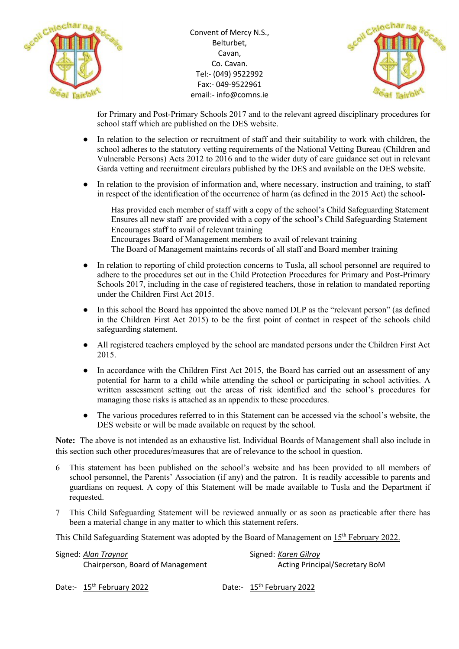



for Primary and Post-Primary Schools 2017 and to the relevant agreed disciplinary procedures for school staff which are published on the DES website.

- In relation to the selection or recruitment of staff and their suitability to work with children, the school adheres to the statutory vetting requirements of the National Vetting Bureau (Children and Vulnerable Persons) Acts 2012 to 2016 and to the wider duty of care guidance set out in relevant Garda vetting and recruitment circulars published by the DES and available on the DES website.
- In relation to the provision of information and, where necessary, instruction and training, to staff in respect of the identification of the occurrence of harm (as defined in the 2015 Act) the school-

 Has provided each member of staff with a copy of the school's Child Safeguarding Statement Ensures all new staff are provided with a copy of the school's Child Safeguarding Statement Encourages staff to avail of relevant training Encourages Board of Management members to avail of relevant training The Board of Management maintains records of all staff and Board member training

- In relation to reporting of child protection concerns to Tusla, all school personnel are required to adhere to the procedures set out in the Child Protection Procedures for Primary and Post-Primary Schools 2017, including in the case of registered teachers, those in relation to mandated reporting under the Children First Act 2015.
- In this school the Board has appointed the above named DLP as the "relevant person" (as defined in the Children First Act 2015) to be the first point of contact in respect of the schools child safeguarding statement.
- All registered teachers employed by the school are mandated persons under the Children First Act 2015.
- In accordance with the Children First Act 2015, the Board has carried out an assessment of any potential for harm to a child while attending the school or participating in school activities. A written assessment setting out the areas of risk identified and the school's procedures for managing those risks is attached as an appendix to these procedures.
- The various procedures referred to in this Statement can be accessed via the school's website, the DES website or will be made available on request by the school.

**Note:** The above is not intended as an exhaustive list. Individual Boards of Management shall also include in this section such other procedures/measures that are of relevance to the school in question.

- 6 This statement has been published on the school's website and has been provided to all members of school personnel, the Parents' Association (if any) and the patron. It is readily accessible to parents and guardians on request. A copy of this Statement will be made available to Tusla and the Department if requested.
- 7 This Child Safeguarding Statement will be reviewed annually or as soon as practicable after there has been a material change in any matter to which this statement refers.

This Child Safeguarding Statement was adopted by the Board of Management on 15<sup>th</sup> February 2022.

| Signed: Alan Traynor             | Signed: Karen Gilroy  |
|----------------------------------|-----------------------|
| Chairperson, Board of Management | <b>Acting Princip</b> |

Acting Principal/Secretary BoM

Date:- 15<sup>th</sup> February 2022 Date:- 15<sup>th</sup> February 2022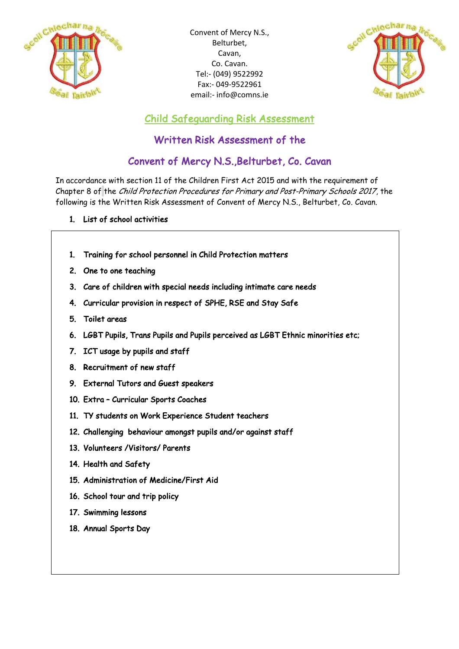



Child Safeguarding Risk Assessment

# Written Risk Assessment of the

# Convent of Mercy N.S.,Belturbet, Co. Cavan

In accordance with section 11 of the Children First Act 2015 and with the requirement of Chapter 8 of the Child Protection Procedures for Primary and Post-Primary Schools 2017, the following is the Written Risk Assessment of Convent of Mercy N.S., Belturbet, Co. Cavan.

### 1. List of school activities

- 1. Training for school personnel in Child Protection matters
- 2. One to one teaching
- 3. Care of children with special needs including intimate care needs
- 4. Curricular provision in respect of SPHE, RSE and Stay Safe
- 5. Toilet areas
- 6. LGBT Pupils, Trans Pupils and Pupils perceived as LGBT Ethnic minorities etc;
- 7. ICT usage by pupils and staff
- 8. Recruitment of new staff
- 9. External Tutors and Guest speakers
- 10. Extra Curricular Sports Coaches
- 11. TY students on Work Experience Student teachers
- 12. Challenging behaviour amongst pupils and/or against staff
- 13. Volunteers /Visitors/ Parents
- 14. Health and Safety
- 15. Administration of Medicine/First Aid
- 16. School tour and trip policy
- 17. Swimming lessons
- 18. Annual Sports Day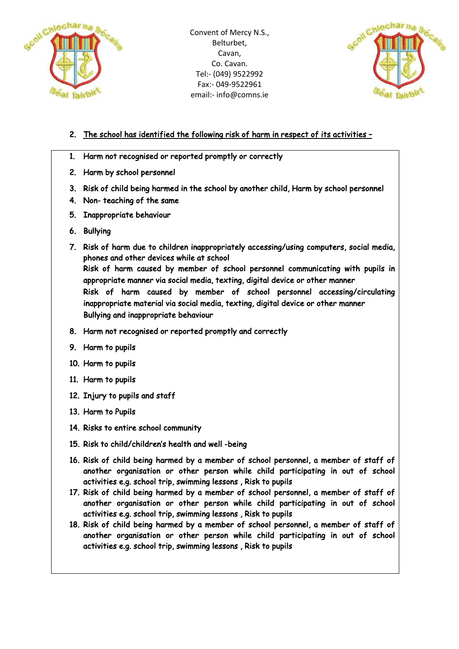



## 2. The school has identified the following risk of harm in respect of its activities –

- 1. Harm not recognised or reported promptly or correctly
- 2. Harm by school personnel
- 3. Risk of child being harmed in the school by another child, Harm by school personnel
- 4. Non- teaching of the same
- 5. Inappropriate behaviour
- 6. Bullying
- 7. Risk of harm due to children inappropriately accessing/using computers, social media, phones and other devices while at school Risk of harm caused by member of school personnel communicating with pupils in appropriate manner via social media, texting, digital device or other manner Risk of harm caused by member of school personnel accessing/circulating inappropriate material via social media, texting, digital device or other manner Bullying and inappropriate behaviour
- 8. Harm not recognised or reported promptly and correctly
- 9. Harm to pupils
- 10. Harm to pupils
- 11. Harm to pupils
- 12. Injury to pupils and staff
- 13. Harm to Pupils
- 14. Risks to entire school community
- 15. Risk to child/children's health and well -being
- 16. Risk of child being harmed by a member of school personnel, a member of staff of another organisation or other person while child participating in out of school activities e.g. school trip, swimming lessons , Risk to pupils
- 17. Risk of child being harmed by a member of school personnel, a member of staff of another organisation or other person while child participating in out of school activities e.g. school trip, swimming lessons , Risk to pupils
- 18. Risk of child being harmed by a member of school personnel, a member of staff of another organisation or other person while child participating in out of school activities e.g. school trip, swimming lessons , Risk to pupils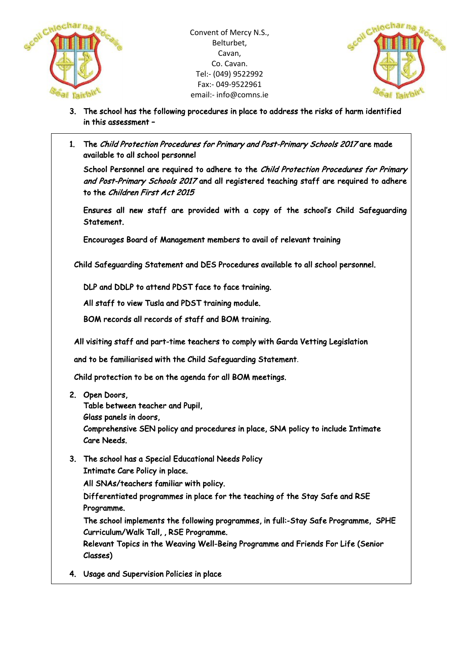



- 3. The school has the following procedures in place to address the risks of harm identified in this assessment –
- 1. The Child Protection Procedures for Primary and Post-Primary Schools 2017 are made available to all school personnel

School Personnel are required to adhere to the Child Protection Procedures for Primary and Post-Primary Schools 2017 and all registered teaching staff are required to adhere to the Children First Act 2015

Ensures all new staff are provided with a copy of the school's Child Safeguarding Statement.

Encourages Board of Management members to avail of relevant training

Child Safeguarding Statement and DES Procedures available to all school personnel.

DLP and DDLP to attend PDST face to face training.

All staff to view Tusla and PDST training module.

BOM records all records of staff and BOM training.

All visiting staff and part-time teachers to comply with Garda Vetting Legislation

and to be familiarised with the Child Safeguarding Statement.

Child protection to be on the agenda for all BOM meetings.

2. Open Doors,

Table between teacher and Pupil,

Glass panels in doors,

Comprehensive SEN policy and procedures in place, SNA policy to include Intimate Care Needs.

3. The school has a Special Educational Needs Policy Intimate Care Policy in place. All SNAs/teachers familiar with policy. 1

Differentiated programmes in place for the teaching of the Stay Safe and RSE Programme.

The school implements the following programmes, in full:-Stay Safe Programme, SPHE Curriculum/Walk Tall, , RSE Programme.

Relevant Topics in the Weaving Well-Being Programme and Friends For Life (Senior Classes)

4. Usage and Supervision Policies in place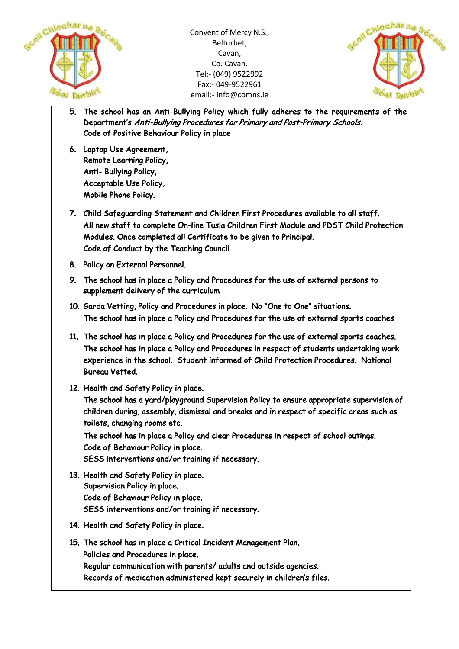



- 5. The school has an Anti-Bullying Policy which fully adheres to the requirements of the Department's Anti-Bullying Procedures for Primary and Post-Primary Schools. Code of Positive Behaviour Policy in place
- 6. Laptop Use Agreement, Remote Learning Policy, Anti- Bullying Policy, Acceptable Use Policy, Mobile Phone Policy.
- 7. Child Safeguarding Statement and Children First Procedures available to all staff. All new staff to complete On-line Tusla Children First Module and PDST Child Protection Modules. Once completed all Certificate to be given to Principal. Code of Conduct by the Teaching Council
- 8. Policy on External Personnel.
- 9. The school has in place a Policy and Procedures for the use of external persons to supplement delivery of the curriculum
- 10. Garda Vetting, Policy and Procedures in place. No "One to One" situations. The school has in place a Policy and Procedures for the use of external sports coaches
- 11. The school has in place a Policy and Procedures for the use of external sports coaches. The school has in place a Policy and Procedures in respect of students undertaking work experience in the school. Student informed of Child Protection Procedures. National Bureau Vetted.
- 12. Health and Safety Policy in place.

The school has a yard/playground Supervision Policy to ensure appropriate supervision of children during, assembly, dismissal and breaks and in respect of specific areas such as toilets, changing rooms etc.

The school has in place a Policy and clear Procedures in respect of school outings. Code of Behaviour Policy in place. SESS interventions and/or training if necessary.

- 
- 13. Health and Safety Policy in place. Supervision Policy in place. Code of Behaviour Policy in place. SESS interventions and/or training if necessary.
- 14. Health and Safety Policy in place.
- 15. The school has in place a Critical Incident Management Plan. Policies and Procedures in place. Regular communication with parents/ adults and outside agencies. Records of medication administered kept securely in children's files.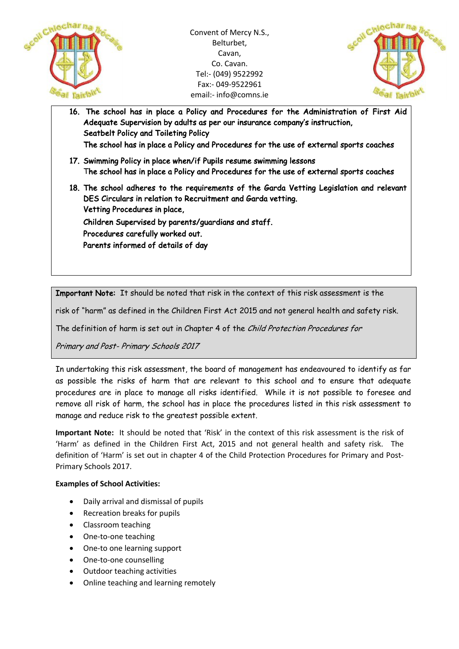



16. The school has in place a Policy and Procedures for the Administration of First Aid Adequate Supervision by adults as per our insurance company's instruction, Seatbelt Policy and Toileting Policy The school has in place a Policy and Procedures for the use of external sports coaches 17. Swimming Policy in place when/if Pupils resume swimming lessons The school has in place a Policy and Procedures for the use of external sports coaches 18. The school adheres to the requirements of the Garda Vetting Legislation and relevant DES Circulars in relation to Recruitment and Garda vetting. Vetting Procedures in place, Children Supervised by parents/guardians and staff. Procedures carefully worked out. Parents informed of details of day

Important Note: It should be noted that risk in the context of this risk assessment is the

risk of "harm" as defined in the Children First Act 2015 and not general health and safety risk.

The definition of harm is set out in Chapter 4 of the Child Protection Procedures for

Primary and Post- Primary Schools 2017

In undertaking this risk assessment, the board of management has endeavoured to identify as far as possible the risks of harm that are relevant to this school and to ensure that adequate procedures are in place to manage all risks identified. While it is not possible to foresee and remove all risk of harm, the school has in place the procedures listed in this risk assessment to manage and reduce risk to the greatest possible extent.

**Important Note:** It should be noted that 'Risk' in the context of this risk assessment is the risk of 'Harm' as defined in the Children First Act, 2015 and not general health and safety risk. The definition of 'Harm' is set out in chapter 4 of the Child Protection Procedures for Primary and Post-Primary Schools 2017.

#### **Examples of School Activities:**

- Daily arrival and dismissal of pupils
- Recreation breaks for pupils
- Classroom teaching
- One-to-one teaching
- One-to one learning support
- One-to-one counselling
- Outdoor teaching activities
- Online teaching and learning remotely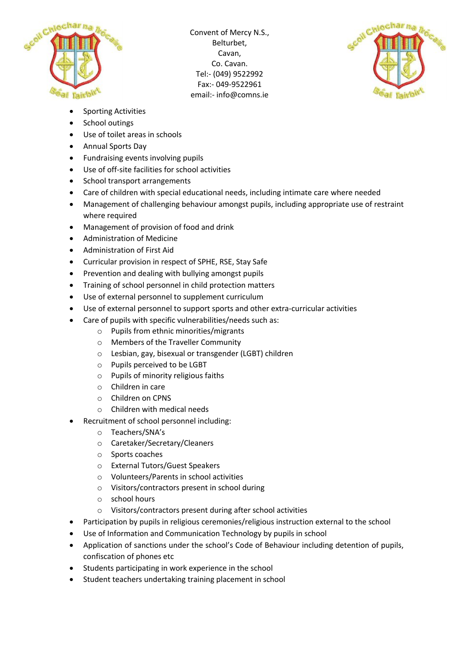



- Sporting Activities
- School outings
- Use of toilet areas in schools
- Annual Sports Day
- Fundraising events involving pupils
- Use of off-site facilities for school activities
- School transport arrangements
- Care of children with special educational needs, including intimate care where needed
- Management of challenging behaviour amongst pupils, including appropriate use of restraint where required
- Management of provision of food and drink
- Administration of Medicine
- Administration of First Aid
- Curricular provision in respect of SPHE, RSE, Stay Safe
- Prevention and dealing with bullying amongst pupils
- Training of school personnel in child protection matters
- Use of external personnel to supplement curriculum
- Use of external personnel to support sports and other extra-curricular activities
- Care of pupils with specific vulnerabilities/needs such as:
	- o Pupils from ethnic minorities/migrants
	- o Members of the Traveller Community
	- o Lesbian, gay, bisexual or transgender (LGBT) children
	- o Pupils perceived to be LGBT
	- o Pupils of minority religious faiths
	- o Children in care
	- o Children on CPNS
	- o Children with medical needs
- Recruitment of school personnel including:
	- o Teachers/SNA's
	- o Caretaker/Secretary/Cleaners
	- o Sports coaches
	- o External Tutors/Guest Speakers
	- o Volunteers/Parents in school activities
	- o Visitors/contractors present in school during
	- o school hours
	- o Visitors/contractors present during after school activities
- Participation by pupils in religious ceremonies/religious instruction external to the school
- Use of Information and Communication Technology by pupils in school
- Application of sanctions under the school's Code of Behaviour including detention of pupils, confiscation of phones etc
- Students participating in work experience in the school
- Student teachers undertaking training placement in school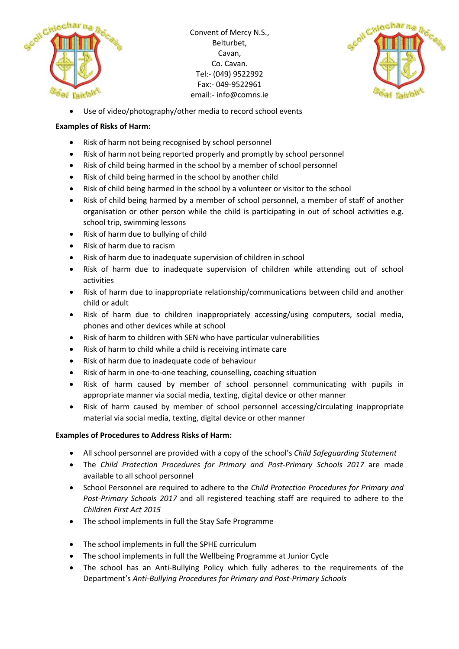



• Use of video/photography/other media to record school events

### **Examples of Risks of Harm:**

- Risk of harm not being recognised by school personnel
- Risk of harm not being reported properly and promptly by school personnel
- Risk of child being harmed in the school by a member of school personnel
- Risk of child being harmed in the school by another child
- Risk of child being harmed in the school by a volunteer or visitor to the school
- Risk of child being harmed by a member of school personnel, a member of staff of another organisation or other person while the child is participating in out of school activities e.g. school trip, swimming lessons
- Risk of harm due to bullying of child
- Risk of harm due to racism
- Risk of harm due to inadequate supervision of children in school
- Risk of harm due to inadequate supervision of children while attending out of school activities
- Risk of harm due to inappropriate relationship/communications between child and another child or adult
- Risk of harm due to children inappropriately accessing/using computers, social media, phones and other devices while at school
- Risk of harm to children with SEN who have particular vulnerabilities
- Risk of harm to child while a child is receiving intimate care
- Risk of harm due to inadequate code of behaviour
- Risk of harm in one-to-one teaching, counselling, coaching situation
- Risk of harm caused by member of school personnel communicating with pupils in appropriate manner via social media, texting, digital device or other manner
- Risk of harm caused by member of school personnel accessing/circulating inappropriate material via social media, texting, digital device or other manner

#### **Examples of Procedures to Address Risks of Harm:**

- All school personnel are provided with a copy of the school's *Child Safeguarding Statement*
- The *Child Protection Procedures for Primary and Post-Primary Schools 2017* are made available to all school personnel
- School Personnel are required to adhere to the *Child Protection Procedures for Primary and Post-Primary Schools 2017* and all registered teaching staff are required to adhere to the *Children First Act 2015*
- The school implements in full the Stay Safe Programme
- The school implements in full the SPHE curriculum
- The school implements in full the Wellbeing Programme at Junior Cycle
- The school has an Anti-Bullying Policy which fully adheres to the requirements of the Department's *Anti-Bullying Procedures for Primary and Post-Primary Schools*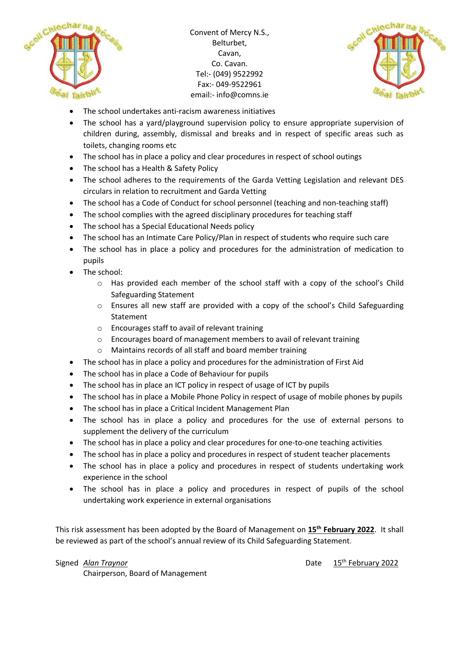



- The school undertakes anti-racism awareness initiatives
- The school has a yard/playground supervision policy to ensure appropriate supervision of children during, assembly, dismissal and breaks and in respect of specific areas such as toilets, changing rooms etc
- The school has in place a policy and clear procedures in respect of school outings
- The school has a Health & Safety Policy
- The school adheres to the requirements of the Garda Vetting Legislation and relevant DES circulars in relation to recruitment and Garda Vetting
- The school has a Code of Conduct for school personnel (teaching and non-teaching staff)
- The school complies with the agreed disciplinary procedures for teaching staff
- The school has a Special Educational Needs policy
- The school has an Intimate Care Policy/Plan in respect of students who require such care
- The school has in place a policy and procedures for the administration of medication to pupils
- The school:
	- $\circ$  Has provided each member of the school staff with a copy of the school's Child Safeguarding Statement
	- o Ensures all new staff are provided with a copy of the school's Child Safeguarding Statement
	- o Encourages staff to avail of relevant training
	- o Encourages board of management members to avail of relevant training
	- o Maintains records of all staff and board member training
- The school has in place a policy and procedures for the administration of First Aid
- The school has in place a Code of Behaviour for pupils
- The school has in place an ICT policy in respect of usage of ICT by pupils
- The school has in place a Mobile Phone Policy in respect of usage of mobile phones by pupils
- The school has in place a Critical Incident Management Plan
- The school has in place a policy and procedures for the use of external persons to supplement the delivery of the curriculum
- The school has in place a policy and clear procedures for one-to-one teaching activities
- The school has in place a policy and procedures in respect of student teacher placements
- The school has in place a policy and procedures in respect of students undertaking work experience in the school
- The school has in place a policy and procedures in respect of pupils of the school undertaking work experience in external organisations

This risk assessment has been adopted by the Board of Management on **15th February 2022**. It shall be reviewed as part of the school's annual review of its Child Safeguarding Statement.

Signed *Alan Traynor* **Date 15<sup>th</sup> February 2022** 

Chairperson, Board of Management